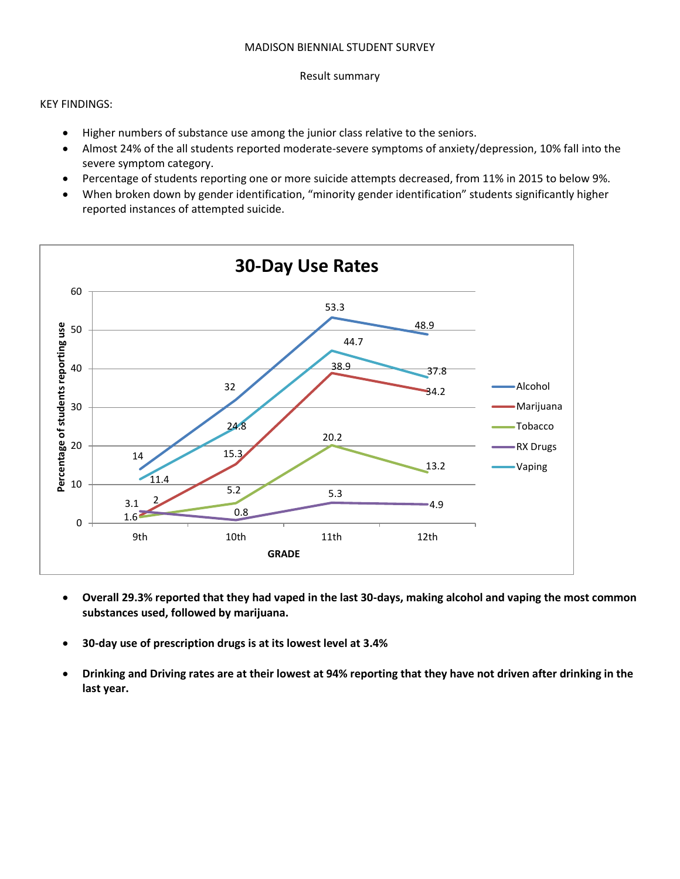#### MADISON BIENNIAL STUDENT SURVEY

#### Result summary

KEY FINDINGS:

- Higher numbers of substance use among the junior class relative to the seniors.
- Almost 24% of the all students reported moderate-severe symptoms of anxiety/depression, 10% fall into the severe symptom category.
- Percentage of students reporting one or more suicide attempts decreased, from 11% in 2015 to below 9%.
- When broken down by gender identification, "minority gender identification" students significantly higher reported instances of attempted suicide.



- **Overall 29.3% reported that they had vaped in the last 30-days, making alcohol and vaping the most common substances used, followed by marijuana.**
- **30-day use of prescription drugs is at its lowest level at 3.4%**
- **Drinking and Driving rates are at their lowest at 94% reporting that they have not driven after drinking in the last year.**